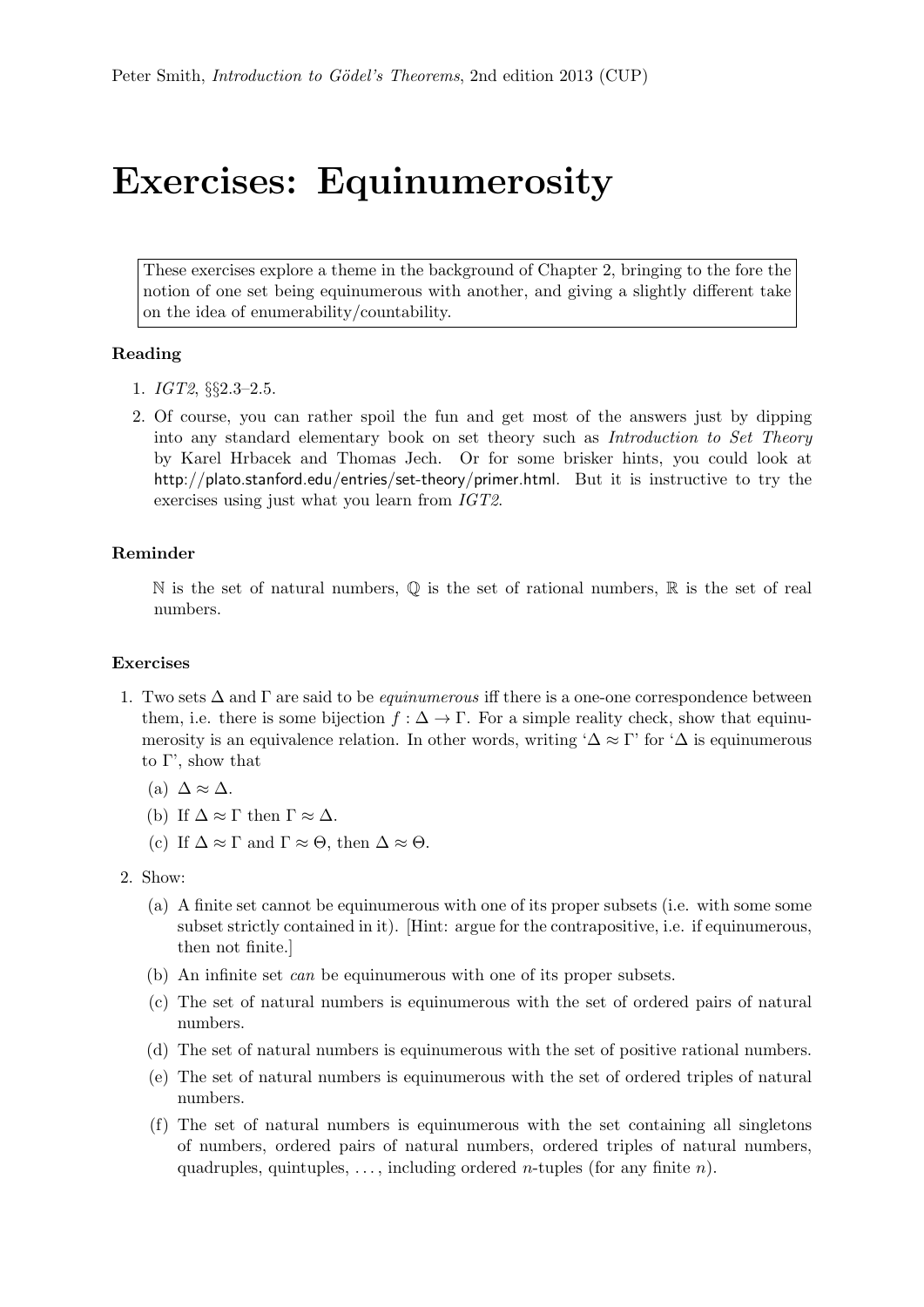## Exercises: Equinumerosity

These exercises explore a theme in the background of Chapter 2, bringing to the fore the notion of one set being equinumerous with another, and giving a slightly different take on the idea of enumerability/countability.

## Reading

- 1. IGT2, §§2.3–2.5.
- 2. Of course, you can rather spoil the fun and get most of the answers just by dipping into any standard elementary book on set theory such as Introduction to Set Theory by Karel Hrbacek and Thomas Jech. Or for some brisker hints, you could look at http://plato.stanford.edu/entries/set-theory/primer.html. But it is instructive to try the exercises using just what you learn from IGT2.

## Reminder

 $\mathbb N$  is the set of natural numbers,  $\mathbb Q$  is the set of rational numbers,  $\mathbb R$  is the set of real numbers.

## Exercises

- 1. Two sets  $\Delta$  and  $\Gamma$  are said to be *equinumerous* iff there is a one-one correspondence between them, i.e. there is some bijection  $f : \Delta \to \Gamma$ . For a simple reality check, show that equinumerosity is an equivalence relation. In other words, writing ' $\Delta \approx \Gamma'$  for ' $\Delta$  is equinumerous to Γ', show that
	- (a)  $\Delta \approx \Delta$ .
	- (b) If  $\Delta \approx \Gamma$  then  $\Gamma \approx \Delta$ .
	- (c) If  $\Delta \approx \Gamma$  and  $\Gamma \approx \Theta$ , then  $\Delta \approx \Theta$ .
- 2. Show:
	- (a) A finite set cannot be equinumerous with one of its proper subsets (i.e. with some some subset strictly contained in it). [Hint: argue for the contrapositive, i.e. if equinumerous, then not finite.]
	- (b) An infinite set can be equinumerous with one of its proper subsets.
	- (c) The set of natural numbers is equinumerous with the set of ordered pairs of natural numbers.
	- (d) The set of natural numbers is equinumerous with the set of positive rational numbers.
	- (e) The set of natural numbers is equinumerous with the set of ordered triples of natural numbers.
	- (f) The set of natural numbers is equinumerous with the set containing all singletons of numbers, ordered pairs of natural numbers, ordered triples of natural numbers, quadruples, quintuples, ..., including ordered *n*-tuples (for any finite *n*).